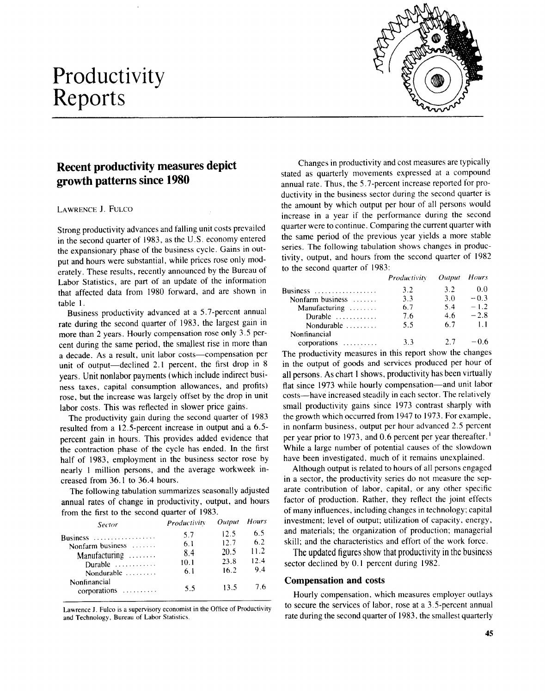# Productivity Reports



## Recent productivity measures depict growth patterns since 1980

#### LAWRENCE J. FULCO

Strong productivity advances and falling unit costs prevailed in the second quarter of 1983, as the U.S . economy entered the expansionary phase of the business cycle . Gains in output and hours were substantial, while prices rose only moderately. These results, recently announced by the Bureau of Labor Statistics, are part of an update of the information that affected data from 1980 forward, and are shown in table l .

Business productivity advanced at a 5 .7-percent annual rate during the second quarter of 1983, the largest gain in more than 2 years. Hourly compensation rose only 3.5 percent during the same period, the smallest rise in more than a decade. As a result, unit labor costs-compensation per unit of output—declined 2.1 percent, the first drop in 8 years. Unit nonlabor payments (which include indirect business taxes, capital consumption allowances, and profits) rose, but the increase was largely offset by the drop in unit labor costs. This was reflected in slower price gains.

The productivity gain during the second quarter of 1983 resulted from a 12 .5-percent increase in output and a 6.5 percent gain in hours. This provides added evidence that the contraction phase of the cycle has ended. In the first half of 1983, employment in the business sector rose by nearly 1 million persons, and the average workweek increased from 36 .1 to 36.4 hours .

The following tabulation summarizes seasonally adjusted annual rates of change in productivity, output, and hours from the first to the second quarter of 1983.

| <b>Sector</b>                                                                                                      | Productivity                            | Output                                       | <b>Hours</b>                            |  |
|--------------------------------------------------------------------------------------------------------------------|-----------------------------------------|----------------------------------------------|-----------------------------------------|--|
| Business<br>Nonfarm business<br>$M$ anufacturing $\ldots$<br>Durable<br>Nondurable<br>Nonfinancial<br>corporations | 5.7<br>6.1<br>8.4<br>10.1<br>6.1<br>5.5 | 12.5<br>12.7<br>20.5<br>23.8<br>16.2<br>13.5 | 6.5<br>6.2<br>11.2<br>12.4<br>9.4<br>76 |  |
|                                                                                                                    |                                         |                                              |                                         |  |

Lawrence J. Fulco is a supervisory economist in the Office of Productivity and Technology, Bureau of Labor Statistics .

Changes in productivity and cost measures are typically stated as quarterly movements expressed at a compound annual rate. Thus, the 5.7-percent increase reported for productivity in the business sector during the second quarter is the amount by which output per hour of all persons would increase in a year if the performance during the second quarter were to continue . Comparing the current quarter with the same period of the previous year yields a more stable series. The following tabulation shows changes in productivity, output, and hours from the second quarter of 1982 to the second quarter of 1983:

|                             | Productivity | Output Hours |        |
|-----------------------------|--------------|--------------|--------|
| Business                    | 3.2          | 3.2          | 0.0    |
| Nonfarm business $\dots$    | 3.3          | 3.0          | $-0.3$ |
| Manufacturing $\dots \dots$ | 6.7          | 5.4          | $-1.2$ |
| Durable $\ldots$ ,          | 7.6          | 4.6          | $-2.8$ |
| Nondurable $\ldots$         | 5.5          | 6.7          | 1.1    |
| Nonfinancial                |              |              |        |
| corporations                | 3.3          | 27           | $-0.6$ |

The productivity measures in this report show the changes in the output of goods and services produced per hour of all persons. As chart 1 shows, productivity has been virtually flat since 1973 while hourly compensation-and unit labor costs-have increased steadily in each sector. The relatively small productivity gains since 1973 contrast sharply with the growth which occurred from 1947 to 1973 . For example, in nonfarm business, output per hour advanced 2 .5 percent per year prior to 1973, and 0.6 percent per year thereafter . I While a large number of potential causes of the slowdown have been investigated, much of it remains unexplained.

Although output is related to hours of all persons engaged in a sector, the productivity series do not measure the separate contribution of labor, capital, or any other specific factor of production. Rather, they reflect the joint effects of many influences, including changes in technology ; capital investment; level of output; utilization of capacity, energy, and materials; the organization of production; managerial skill; and the characteristics and effort of the work force.

The updated figures show that productivity in the business sector declined by 0.1 percent during 1982.

### Compensation and costs

Hourly compensation, which measures employer outlays to secure the services of labor, rose at a 3.5-percent annual rate during the second quarter of 1983, the smallest quarterly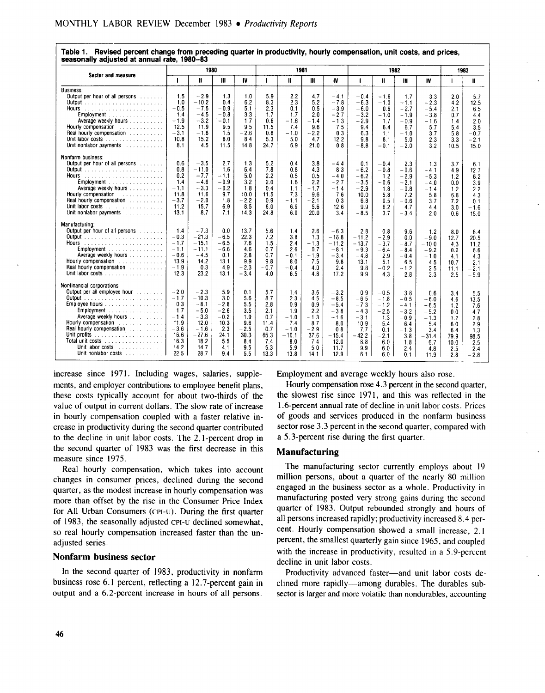| asonany aujustou at annuar rato, 1900                                                                                                                                                                                                                                                                                                     | 1980                                                                                       |                                                                                                      |                                                                                      | 1981                                                                          |                                                                              |                                                                                      | 1982                                                                              |                                                                                                 |                                                                                            |                                                                                          | 1983                                                                                     |                                                                                            |                                                                                |                                                                                      |
|-------------------------------------------------------------------------------------------------------------------------------------------------------------------------------------------------------------------------------------------------------------------------------------------------------------------------------------------|--------------------------------------------------------------------------------------------|------------------------------------------------------------------------------------------------------|--------------------------------------------------------------------------------------|-------------------------------------------------------------------------------|------------------------------------------------------------------------------|--------------------------------------------------------------------------------------|-----------------------------------------------------------------------------------|-------------------------------------------------------------------------------------------------|--------------------------------------------------------------------------------------------|------------------------------------------------------------------------------------------|------------------------------------------------------------------------------------------|--------------------------------------------------------------------------------------------|--------------------------------------------------------------------------------|--------------------------------------------------------------------------------------|
| <b>Sector and measure</b>                                                                                                                                                                                                                                                                                                                 |                                                                                            | Ħ                                                                                                    | Ш                                                                                    | IV                                                                            | т                                                                            | H                                                                                    | Ш                                                                                 | IV                                                                                              | $\mathbf{I}$                                                                               | И                                                                                        | Ш                                                                                        | IV                                                                                         | т                                                                              | $\mathbf{u}$                                                                         |
| <b>Business:</b><br>Output per hour of all persons [1]<br>Employment<br>Average weekly hours<br>Hourly compensation<br>Real hourly compensation<br>Unit labor costs<br>Unit nonlabor payments                                                                                                                                             | 1.5<br>1.0<br>$-0.5$<br>1.4<br>$-1.9$<br>12.5<br>$-3.1$<br>10.8<br>8.1                     | $-2.9$<br>$-10.2$<br>$-7.5$<br>$-4.5$<br>$-3.2$<br>11.9<br>-1.8<br>15.2<br>4.5                       | 1.3<br>0.4<br>$-0.9$<br>$-0.8$<br>$-0.1$<br>9.5<br>1.5<br>8.0<br>11.5                | 1.0<br>6.2<br>5.1<br>3.3<br>1.7<br>9.5<br>$-2.6$<br>8.4<br>14.8               | 5.9<br>8.3<br>2.3<br>1.7<br>0.6<br>11.5<br>0.8<br>5.3<br>24.7                | 2.2<br>2.3<br>0.1<br>1.7<br>- 1.6<br>7.4<br>$-1.0$<br>5.0<br>6.9                     | 4.7<br>5.2<br>0.5<br>2.0<br>$-1.4$<br>9.6<br>$-2.2$<br>4.7<br>21.0                | $-4.1$<br>$-7.8$<br>$-3.9$<br>$-2.7$<br>$-1.3$<br>7.5<br>0.3<br>12.2<br>0.8                     | - 0.4<br>$-6.3$<br>$-6.0$<br>$-3.2$<br>$-2.9$<br>9.4<br>6.3<br>9.8<br>-8.8                 | $-1.6$<br>$-1.0$<br>0.6<br>$-1.0$<br>1.7<br>6.4<br>1.1<br>8.1<br>$-0.1$                  | 1.7<br>$-1.1$<br>$-2.7$<br>$-1.9$<br>$-0.9$<br>6.7<br>$-1.0$<br>5.0<br>$-2.0$            | 3.3<br>$-2.3$<br>$-5.4$<br>$-3.8$<br>$-1.6$<br>5.7<br>3.7<br>2.3<br>3.2                    | 2.0<br>4.2<br>2.1<br>0.7<br>1.4<br>5.4<br>5.8<br>3.3<br>10.5                   | 5.7<br>12.5<br>6.5<br>4.4<br>2.0<br>3.5<br>$-0.7$<br>$-2.1$<br>15.0                  |
| Nonfarm business:<br>Output per hour of all persons<br>Employment<br>Average weekly hours<br>Hourly compensation<br>Real hourly compensation entitled and real hours<br>Unit labor costs $\ldots$ , $\ldots$ , $\ldots$<br>Unit nonlabor payments response to the set of the set of the set of the set of the set of the set of the set o | 0.6<br>0.8<br>0.2<br>1.4<br>$-1.1$<br>11.8<br>$-3.7$<br>11.2<br>13.1                       | $-3.5$<br>$-11.0$<br>$-7.7$<br>-4.6<br>$-3.3$<br>11.6<br>$-2.0$<br>15.7<br>8.7                       | 2.7<br>1.6<br>$-1.1$<br>$-0.9$<br>$-0.2$<br>9.7<br>1.8<br>6.9<br>7.1                 | 1.3<br>6.4<br>5.0<br>3.2<br>1.8<br>10.0<br>$-2.2$<br>8.5<br>14.3              | 5.2<br>7.8<br>2.2<br>2.0<br>0.4<br>11.5<br>0.9<br>6.0<br>24.8                | 0.4<br>0.8<br>0.5<br>1.6<br>1.1<br>7.3<br>$-1.1$<br>6.9<br>6.0                       | 3.8<br>4.3<br>0.5<br>2.2<br>$-1.7$<br>9.6<br>$-2.1$<br>5.6<br>20.0                | $-4.4$<br>8.3<br>$-4.0$<br>$-2.7$<br>$-1.4$<br>7.6<br>0.3<br>12.6<br>3.4                        | 0.1<br>$-6.2$<br>$-6.2$<br>$-3.5$<br>$-2.9$<br>10.0<br>6.8<br>9.9<br>$-8.5$                | $-0.4$<br>$-0.8$<br>1.2<br>$-0.6$<br>1.8<br>5.8<br>0.5<br>6.2<br>3.7                     | 2.3<br>$-0.6$<br>$-2.9$<br>$-2.1$<br>$-0.8$<br>7.2<br>$-0.6$<br>4.7<br>$-3.4$            | 1.3<br>$-4.1$<br>$-5.3$<br>$-4.0$<br>$-1.4$<br>5.8<br>3.7<br>4.4<br>2.0                    | 3.7<br>4.9<br>1.2<br>0.0<br>1.2<br>6.8<br>7.2<br>3.0<br>0.6                    | 6.1<br>12.7<br>6.2<br>3.9<br>2.2<br>4.3<br>0.1<br>$-1.6$<br>15.0                     |
| Manufacturing:<br>Output per hour of all persons<br>Employment<br>Average weekly hours<br>Hourly compensation response to the set of the Hours<br><b>Real hourly compensation contract and the Real hourly compensation</b><br>Unit labor costs                                                                                           | 1.4<br>$-0.3$<br>$-1.7$<br>$-1.1$<br>$-0.6$<br>13.9<br>$-1.9$<br>12.3                      | $-7.3$<br>$-21.3$<br>$-15.1$<br>-11.1<br>$-4.5$<br>14.2<br>0.3<br>23.2                               | 0.0<br>$-6.5$<br>$-6.5$<br>$-6.6$<br>0.1<br>13.1<br>4.9<br>13.1                      | 13.7<br>22.3<br>7.6<br>4.6<br>2.8<br>9.9<br>$-2.3$<br>$-3.4$                  | 5.6<br>7.2<br>1.5<br>0.7<br>0.7<br>9.8<br>$-0.7$<br>4.0                      | 1.4<br>3.8<br>2.4<br>2.6<br>$-0.1$<br>8.0<br>$-0.4$<br>6.5                           | 2.6<br>1.3<br>$-1.3$<br>0.7<br>$-1.9$<br>7.5<br>4.0<br>4.8                        | $-6.3$<br>$-10.8$<br>$-11.2$<br>$-8.1$<br>$-3.4$<br>9.8<br>2.4<br>17.2                          | 2.8<br>$-11.2$<br>$-13.7$<br>$-9.3$<br>$-4.8$<br>13.1<br>9.8<br>9.9                        | 0.8<br>$-2.9$<br>$-3.7$<br>$-6.4$<br>2.9<br>5.1<br>$-0.2$<br>4.3                         | 9.6<br>0.0<br>$-8.7$<br>$-8.4$<br>$-0.4$<br>6.5<br>$-1.2$<br>2.8                         | 1.2<br>$-9.0$<br>$-10.0$<br>$-9.2$<br>$-1.0$<br>4.5<br>2.5<br>3.3                          | 8.0<br>12.7<br>4.3<br>0.2<br>4.1<br>10.7<br>11.1<br>2.5                        | 8.4<br>20.5<br>11.2<br>6.6<br>4.3<br>2.1<br>2.1<br>÷<br>$-5.9$                       |
| Nonfinancial corporations:<br>Output per all employee hour containing<br>Employee hours<br>Employment<br>Average weekly hours<br>Hourly compensation contained a state of the state of the state of the Hours<br>Real hourly compensation resources.<br>Total unit costs<br>Unit labor costs<br>.<br>Unit nonlabor costs                  | $-2.0$<br>$-1.7$<br>0.3<br>1.7<br>$-1.4$<br>11.9<br>$-3.6$<br>16.6<br>16.3<br>14.2<br>22.5 | $-2.3$<br>$-10.3$<br>$-8.1$<br>$-5.0$<br>$-3.3$<br>12.0<br>$-1.6$<br>$-27.6$<br>18.2<br>14.7<br>28.7 | 5.9<br>3.0<br>$-2.8$<br>$-2.6$<br>$-0.2$<br>10.3<br>2.3<br>24.1<br>5.5<br>4.1<br>9.4 | 0.1<br>5.6<br>5.5<br>3.5<br>1.9<br>9.6<br>$-2.5$<br>30.3<br>8.4<br>9.5<br>5.5 | 5.7<br>8.7<br>2.8<br>2.1<br>0.7<br>11.4<br>0.7<br>65.3<br>7.4<br>5.3<br>13.3 | 1.4<br>2.3<br>0.9<br>1.9<br>$-1.0$<br>7.4<br>$-1.0$<br>$-10.1$<br>8.0<br>5.9<br>13.8 | 3.6<br>4.5<br>0.9<br>2.2<br>$-1.3$<br>8.7<br>$-2.9$<br>37.6<br>7.4<br>5.0<br>14.1 | $-3.2$<br>$-8.5$<br>$-5.4$<br>$-3.8$<br>$-1.6$<br>8.0<br>0.8<br>$-15.4$<br>12.0<br>11.7<br>12.9 | 0.9<br>$-6.5$<br>$-7.3$<br>$-4.3$<br>$-3.1$<br>10.9<br>7.7<br>$-42.2$<br>8.8<br>9.9<br>6.1 | $-0.5$<br>$-1.8$<br>$-1.2$<br>$-2.5$<br>1.3<br>5.4<br>0.1<br>$-2.1$<br>6.0<br>6.0<br>6.0 | 3.8<br>$-0.5$<br>$-4.1$<br>$-3.2$<br>$-0.9$<br>6.4<br>$-1.3$<br>3.8<br>1.8<br>2.4<br>0.1 | 0.6<br>$-6.0$<br>$-6.5$<br>$-5.2$<br>$-1.3$<br>5.4<br>3.4<br>$-31.4$<br>6.7<br>4.8<br>11.9 | 3.4<br>4.6<br>1.2<br>0.0<br>1.2<br>6.0<br>6.4<br>79.9<br>10.0<br>2.5<br>$-2.8$ | 5.5<br>13.5<br>7.6<br>4.7<br>2.8<br>2.9<br>1.3<br>98.5<br>$-2.5$<br>$-2.4$<br>$-2.8$ |

Table 1. Revised percent change from preceding quarter in productivity, hourly compensation, unit costs, and prices, seasonally adjusted at annual rate, 1980-83

increase since 1971. Including wages, salaries, supplements, and employer contributions to employee benefit plans, these costs typically account for about two-thirds of the value of output in current dollars. The slow rate of increase in hourly compensation coupled with a faster relative increase in productivity during the second quarter contributed to the decline in unit labor costs. The 2.1-percent drop in the second quarter of 1983 was the first decrease in this measure since 1975.

Real hourly compensation, which takes into account changes in consumer prices, declined during the second quarter, as the modest increase in hourly compensation was more than offset by the rise in the Consumer Price Index for All Urban Consumers (CPI-U). During the first quarter of 1983, the seasonally adjusted cpi-u declined somewhat, so real hourly compensation increased faster than the unadjusted series .

#### Nonfarm business sector

In the second quarter of 1983, productivity in nonfarm business rose 6.1 percent, reflecting a 12 .7-percent gain in output and a 6.2-percent increase in hours of all persons. Employment and average weekly hours also rose .

Hourly compensation rose 4.3 percent in the second quarter, the slowest rise since 1971, and this was reflected in the <sup>1</sup> .6-percent annual rate of decline in unit labor costs . Prices of goods and services produced in the nonfarm business sector rose 3.3 percent in the second quarter, compared with a 5 .3-percent rise during the first quarter.

### Manufacturing

The manufacturing sector currently employs about 19 million persons, about a quarter of the nearly 80 million engaged in the business sector as a whole. Productivity in manufacturing posted very strong gains during the second quarter of 1983 . Output rebounded strongly and hours of all persons increased rapidly; productivity increased 8.4 percent. Hourly compensation showed a small increase, 2.1 percent, the smallest quarterly gain since 1965, and coupled with the increase in productivity, resulted in a 5.9-percent decline in unit labor costs.

Productivity advanced faster-and unit labor costs declined more rapidly-among durables . The durables subsector is larger and more volatile than nondurables, accounting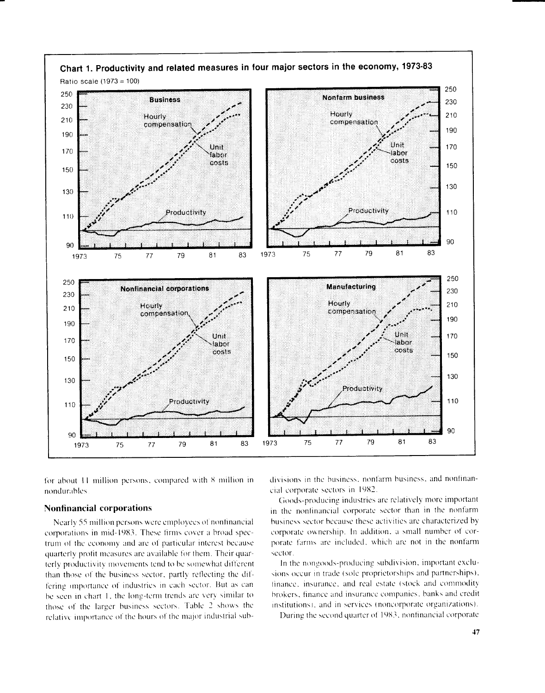

for about 11 million persons, compared with 8 million in nondurahles

### Nonfinancial corporations

Nearly 55 million persons wcre employees of nonfinancial corporations in mid-1983. These firms cover a broad spectrum of the economy and are of particular interest because quarterly profit measures are available for them. Their quarterly productivity movements tend to be somewhat different than those of the business sector, partly reflecting the differing importance of industries in each sector. But as can be seen in chart 1, the long-term trends are very similar to those of the larger business sectors . Tahle 2 shows the relative importance of the hours of the major industrial subdivisions in the business, nonfarm business, and nonfinancial corporate sectors in 1982 .

Goods-producing industries are relatively more important in the nonfinancial corporate sector than in the nonfarm business sector because these activities are characterized by corporate ownership . In addition. a small nuniher of corporate tarnas are included, which are not in the nonfarm sector .

In the nongoods-producing subdivision, important exclu sions occur in trade (sole proprietorships and partnerships), finance, insurance, and real estate (stock and commodity brokers, finance and insurance companies, banks and credit institutions), and in services (noncorporate organizations) .

During the second quarter of 1983, nonfinancial corporate